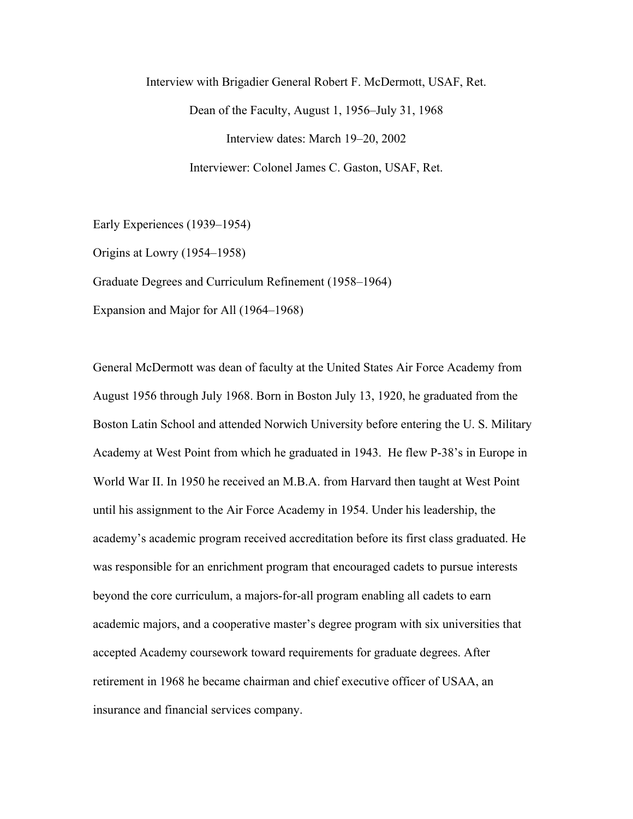Interview with Brigadier General Robert F. McDermott, USAF, Ret. Dean of the Faculty, August 1, 1956–July 31, 1968 Interview dates: March 19–20, 2002 Interviewer: Colonel James C. Gaston, USAF, Ret.

Early Experiences (1939–1954)

Origins at Lowry (1954–1958)

Graduate Degrees and Curriculum Refinement (1958–1964)

Expansion and Major for All (1964–1968)

General McDermott was dean of faculty at the United States Air Force Academy from August 1956 through July 1968. Born in Boston July 13, 1920, he graduated from the Boston Latin School and attended Norwich University before entering the U. S. Military Academy at West Point from which he graduated in 1943. He flew P-38's in Europe in World War II. In 1950 he received an M.B.A. from Harvard then taught at West Point until his assignment to the Air Force Academy in 1954. Under his leadership, the academy's academic program received accreditation before its first class graduated. He was responsible for an enrichment program that encouraged cadets to pursue interests beyond the core curriculum, a majors-for-all program enabling all cadets to earn academic majors, and a cooperative master's degree program with six universities that accepted Academy coursework toward requirements for graduate degrees. After retirement in 1968 he became chairman and chief executive officer of USAA, an insurance and financial services company.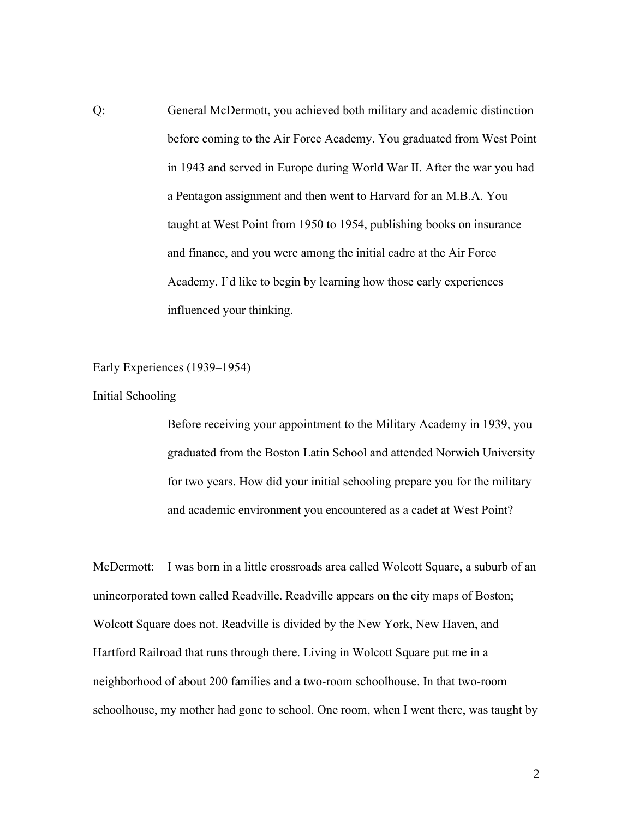Q: General McDermott, you achieved both military and academic distinction before coming to the Air Force Academy. You graduated from West Point in 1943 and served in Europe during World War II. After the war you had a Pentagon assignment and then went to Harvard for an M.B.A. You taught at West Point from 1950 to 1954, publishing books on insurance and finance, and you were among the initial cadre at the Air Force Academy. I'd like to begin by learning how those early experiences influenced your thinking.

Early Experiences (1939–1954)

Initial Schooling

Before receiving your appointment to the Military Academy in 1939, you graduated from the Boston Latin School and attended Norwich University for two years. How did your initial schooling prepare you for the military and academic environment you encountered as a cadet at West Point?

McDermott: I was born in a little crossroads area called Wolcott Square, a suburb of an unincorporated town called Readville. Readville appears on the city maps of Boston; Wolcott Square does not. Readville is divided by the New York, New Haven, and Hartford Railroad that runs through there. Living in Wolcott Square put me in a neighborhood of about 200 families and a two-room schoolhouse. In that two-room schoolhouse, my mother had gone to school. One room, when I went there, was taught by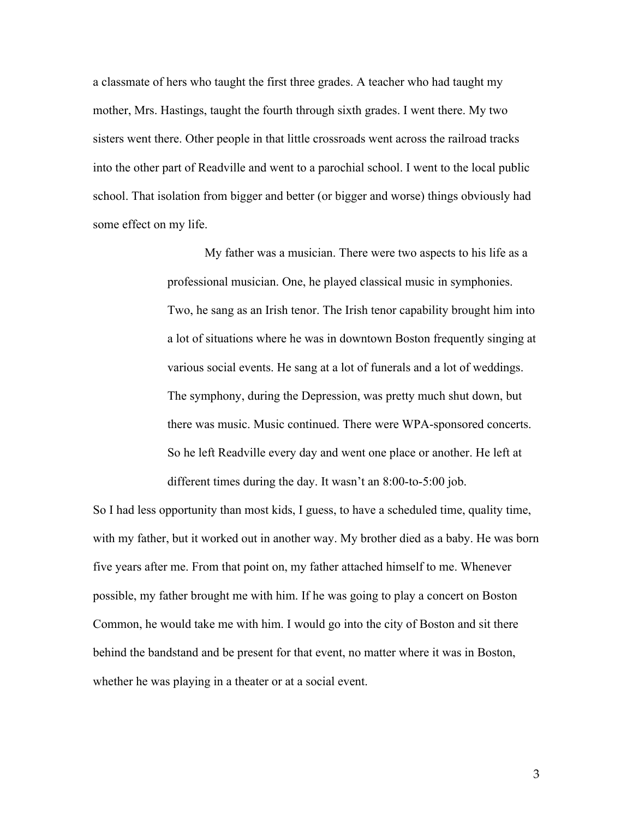a classmate of hers who taught the first three grades. A teacher who had taught my mother, Mrs. Hastings, taught the fourth through sixth grades. I went there. My two sisters went there. Other people in that little crossroads went across the railroad tracks into the other part of Readville and went to a parochial school. I went to the local public school. That isolation from bigger and better (or bigger and worse) things obviously had some effect on my life.

> My father was a musician. There were two aspects to his life as a professional musician. One, he played classical music in symphonies. Two, he sang as an Irish tenor. The Irish tenor capability brought him into a lot of situations where he was in downtown Boston frequently singing at various social events. He sang at a lot of funerals and a lot of weddings. The symphony, during the Depression, was pretty much shut down, but there was music. Music continued. There were WPA-sponsored concerts. So he left Readville every day and went one place or another. He left at different times during the day. It wasn't an 8:00-to-5:00 job.

So I had less opportunity than most kids, I guess, to have a scheduled time, quality time, with my father, but it worked out in another way. My brother died as a baby. He was born five years after me. From that point on, my father attached himself to me. Whenever possible, my father brought me with him. If he was going to play a concert on Boston Common, he would take me with him. I would go into the city of Boston and sit there behind the bandstand and be present for that event, no matter where it was in Boston, whether he was playing in a theater or at a social event.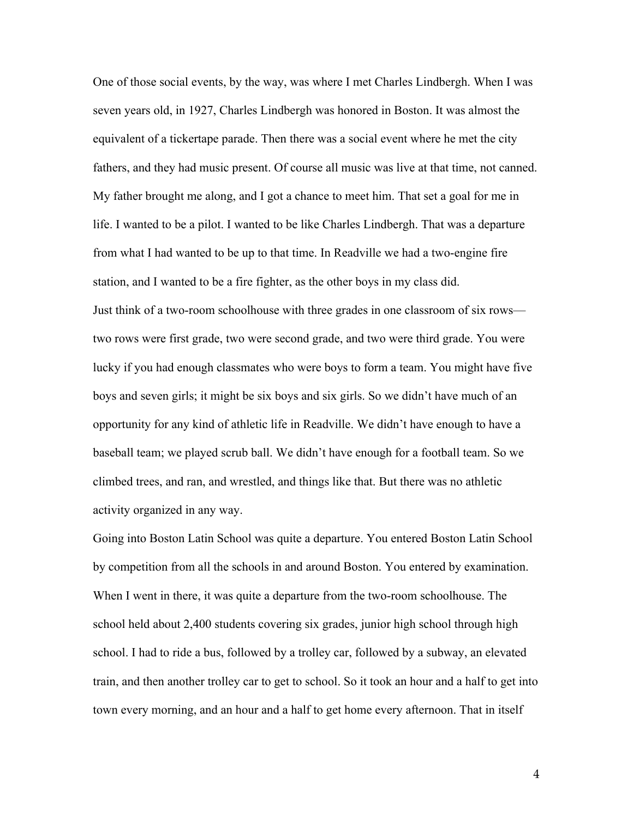One of those social events, by the way, was where I met Charles Lindbergh. When I was seven years old, in 1927, Charles Lindbergh was honored in Boston. It was almost the equivalent of a tickertape parade. Then there was a social event where he met the city fathers, and they had music present. Of course all music was live at that time, not canned. My father brought me along, and I got a chance to meet him. That set a goal for me in life. I wanted to be a pilot. I wanted to be like Charles Lindbergh. That was a departure from what I had wanted to be up to that time. In Readville we had a two-engine fire station, and I wanted to be a fire fighter, as the other boys in my class did. Just think of a two-room schoolhouse with three grades in one classroom of six rows two rows were first grade, two were second grade, and two were third grade. You were lucky if you had enough classmates who were boys to form a team. You might have five boys and seven girls; it might be six boys and six girls. So we didn't have much of an opportunity for any kind of athletic life in Readville. We didn't have enough to have a baseball team; we played scrub ball. We didn't have enough for a football team. So we climbed trees, and ran, and wrestled, and things like that. But there was no athletic activity organized in any way.

Going into Boston Latin School was quite a departure. You entered Boston Latin School by competition from all the schools in and around Boston. You entered by examination. When I went in there, it was quite a departure from the two-room schoolhouse. The school held about 2,400 students covering six grades, junior high school through high school. I had to ride a bus, followed by a trolley car, followed by a subway, an elevated train, and then another trolley car to get to school. So it took an hour and a half to get into town every morning, and an hour and a half to get home every afternoon. That in itself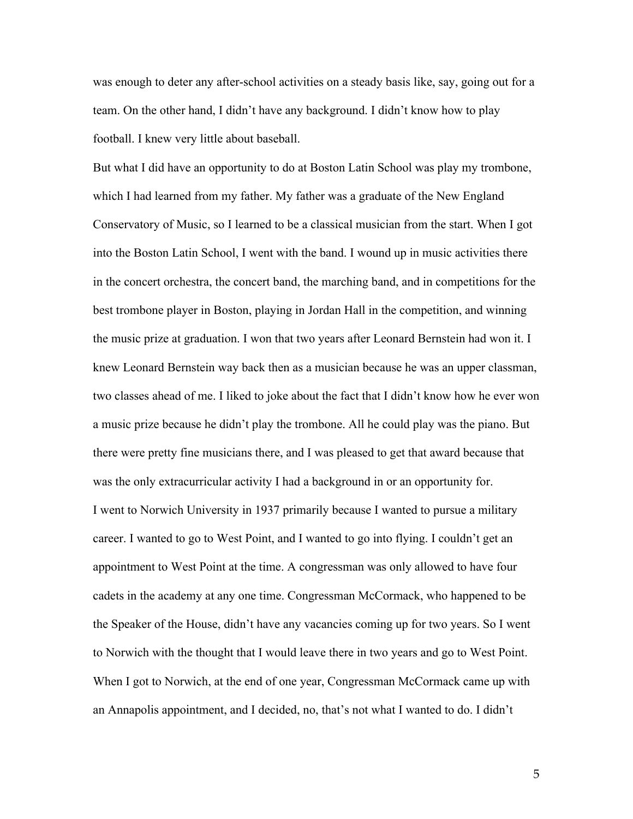was enough to deter any after-school activities on a steady basis like, say, going out for a team. On the other hand, I didn't have any background. I didn't know how to play football. I knew very little about baseball.

But what I did have an opportunity to do at Boston Latin School was play my trombone, which I had learned from my father. My father was a graduate of the New England Conservatory of Music, so I learned to be a classical musician from the start. When I got into the Boston Latin School, I went with the band. I wound up in music activities there in the concert orchestra, the concert band, the marching band, and in competitions for the best trombone player in Boston, playing in Jordan Hall in the competition, and winning the music prize at graduation. I won that two years after Leonard Bernstein had won it. I knew Leonard Bernstein way back then as a musician because he was an upper classman, two classes ahead of me. I liked to joke about the fact that I didn't know how he ever won a music prize because he didn't play the trombone. All he could play was the piano. But there were pretty fine musicians there, and I was pleased to get that award because that was the only extracurricular activity I had a background in or an opportunity for. I went to Norwich University in 1937 primarily because I wanted to pursue a military career. I wanted to go to West Point, and I wanted to go into flying. I couldn't get an appointment to West Point at the time. A congressman was only allowed to have four cadets in the academy at any one time. Congressman McCormack, who happened to be the Speaker of the House, didn't have any vacancies coming up for two years. So I went to Norwich with the thought that I would leave there in two years and go to West Point. When I got to Norwich, at the end of one year, Congressman McCormack came up with an Annapolis appointment, and I decided, no, that's not what I wanted to do. I didn't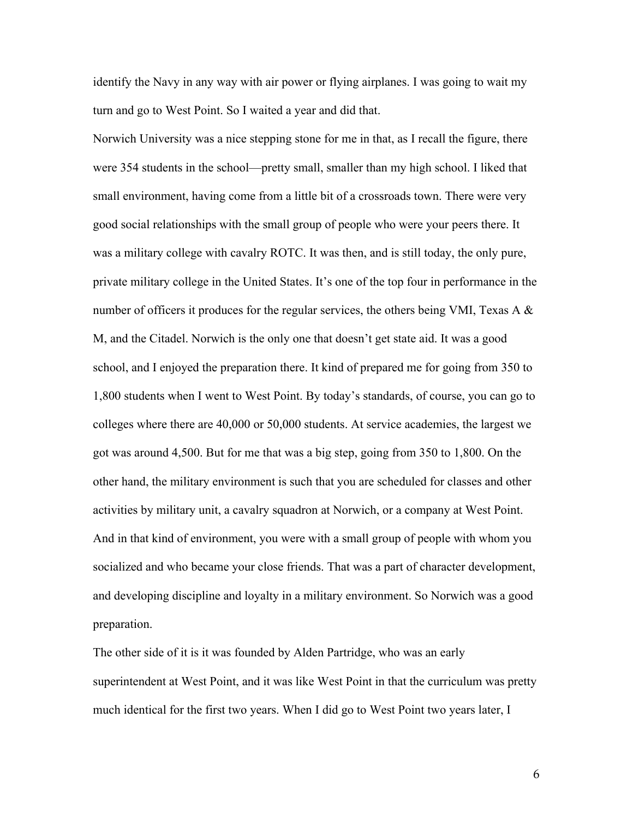identify the Navy in any way with air power or flying airplanes. I was going to wait my turn and go to West Point. So I waited a year and did that.

Norwich University was a nice stepping stone for me in that, as I recall the figure, there were 354 students in the school—pretty small, smaller than my high school. I liked that small environment, having come from a little bit of a crossroads town. There were very good social relationships with the small group of people who were your peers there. It was a military college with cavalry ROTC. It was then, and is still today, the only pure, private military college in the United States. It's one of the top four in performance in the number of officers it produces for the regular services, the others being VMI, Texas A & M, and the Citadel. Norwich is the only one that doesn't get state aid. It was a good school, and I enjoyed the preparation there. It kind of prepared me for going from 350 to 1,800 students when I went to West Point. By today's standards, of course, you can go to colleges where there are 40,000 or 50,000 students. At service academies, the largest we got was around 4,500. But for me that was a big step, going from 350 to 1,800. On the other hand, the military environment is such that you are scheduled for classes and other activities by military unit, a cavalry squadron at Norwich, or a company at West Point. And in that kind of environment, you were with a small group of people with whom you socialized and who became your close friends. That was a part of character development, and developing discipline and loyalty in a military environment. So Norwich was a good preparation.

The other side of it is it was founded by Alden Partridge, who was an early superintendent at West Point, and it was like West Point in that the curriculum was pretty much identical for the first two years. When I did go to West Point two years later, I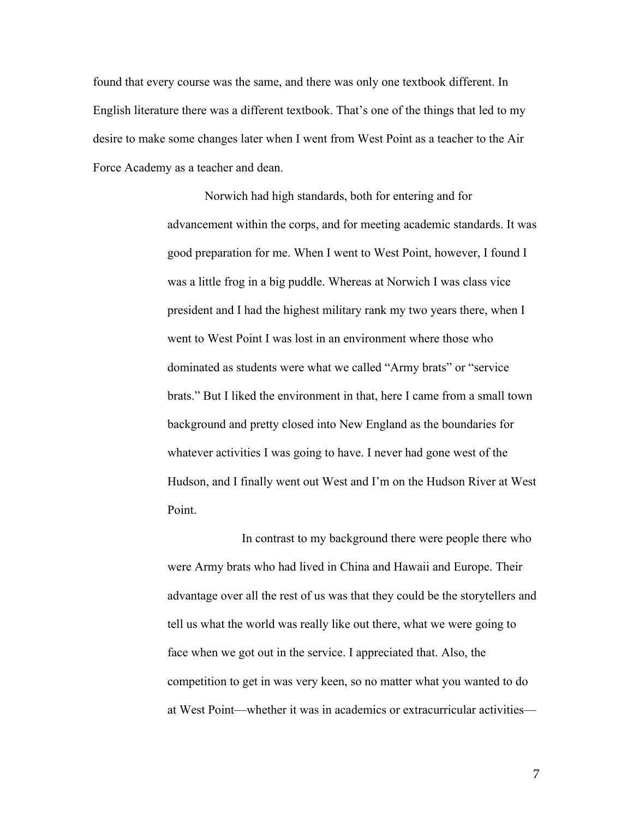found that every course was the same, and there was only one textbook different. In English literature there was a different textbook. That's one of the things that led to my desire to make some changes later when I went from West Point as a teacher to the Air Force Academy as a teacher and dean.

> Norwich had high standards, both for entering and for advancement within the corps, and for meeting academic standards. It was good preparation for me. When I went to West Point, however, I found I was a little frog in a big puddle. Whereas at Norwich I was class vice president and I had the highest military rank my two years there, when I went to West Point I was lost in an environment where those who dominated as students were what we called "Army brats" or "service brats." But I liked the environment in that, here I came from a small town background and pretty closed into New England as the boundaries for whatever activities I was going to have. I never had gone west of the Hudson, and I finally went out West and I'm on the Hudson River at West Point.

> In contrast to my background there were people there who were Army brats who had lived in China and Hawaii and Europe. Their advantage over all the rest of us was that they could be the storytellers and tell us what the world was really like out there, what we were going to face when we got out in the service. I appreciated that. Also, the competition to get in was very keen, so no matter what you wanted to do at West Point—whether it was in academics or extracurricular activities—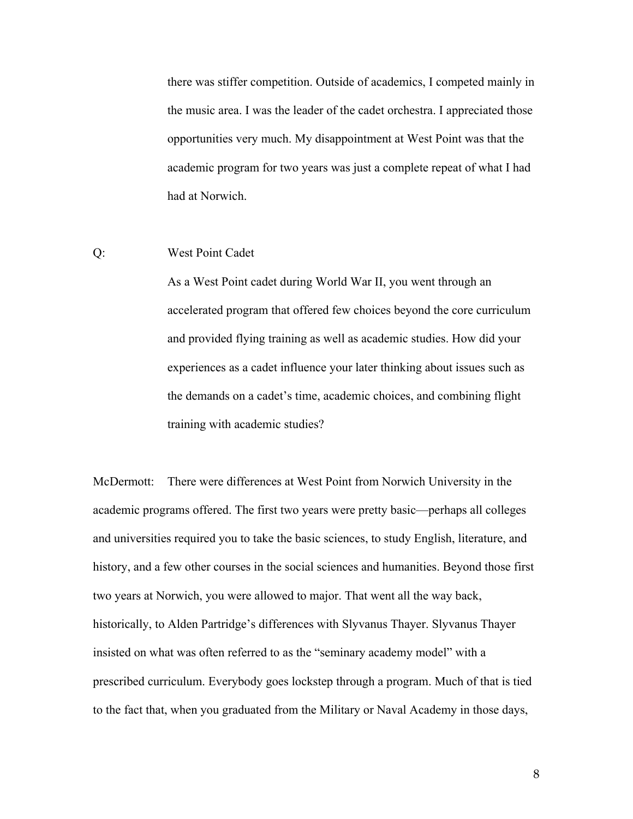there was stiffer competition. Outside of academics, I competed mainly in the music area. I was the leader of the cadet orchestra. I appreciated those opportunities very much. My disappointment at West Point was that the academic program for two years was just a complete repeat of what I had had at Norwich.

## Q: West Point Cadet

As a West Point cadet during World War II, you went through an accelerated program that offered few choices beyond the core curriculum and provided flying training as well as academic studies. How did your experiences as a cadet influence your later thinking about issues such as the demands on a cadet's time, academic choices, and combining flight training with academic studies?

McDermott: There were differences at West Point from Norwich University in the academic programs offered. The first two years were pretty basic—perhaps all colleges and universities required you to take the basic sciences, to study English, literature, and history, and a few other courses in the social sciences and humanities. Beyond those first two years at Norwich, you were allowed to major. That went all the way back, historically, to Alden Partridge's differences with Slyvanus Thayer. Slyvanus Thayer insisted on what was often referred to as the "seminary academy model" with a prescribed curriculum. Everybody goes lockstep through a program. Much of that is tied to the fact that, when you graduated from the Military or Naval Academy in those days,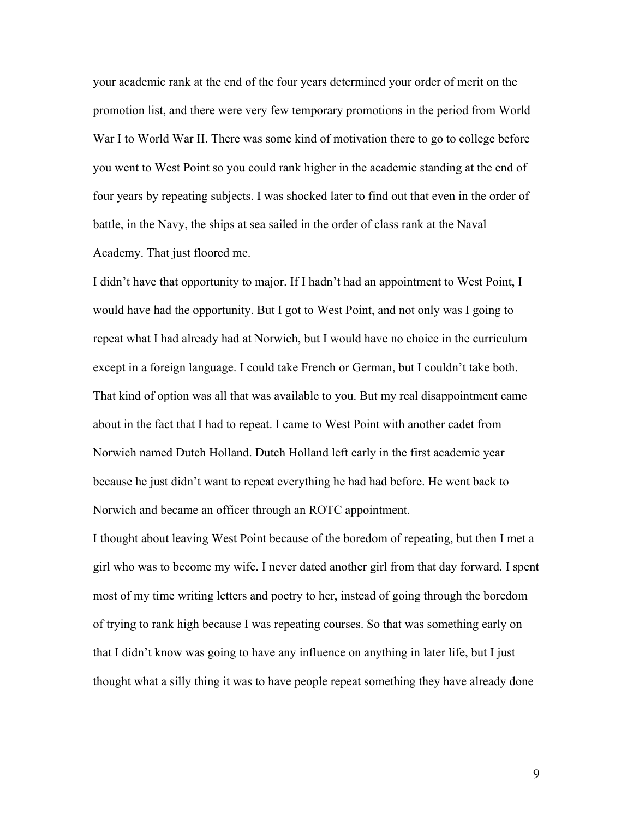your academic rank at the end of the four years determined your order of merit on the promotion list, and there were very few temporary promotions in the period from World War I to World War II. There was some kind of motivation there to go to college before you went to West Point so you could rank higher in the academic standing at the end of four years by repeating subjects. I was shocked later to find out that even in the order of battle, in the Navy, the ships at sea sailed in the order of class rank at the Naval Academy. That just floored me.

I didn't have that opportunity to major. If I hadn't had an appointment to West Point, I would have had the opportunity. But I got to West Point, and not only was I going to repeat what I had already had at Norwich, but I would have no choice in the curriculum except in a foreign language. I could take French or German, but I couldn't take both. That kind of option was all that was available to you. But my real disappointment came about in the fact that I had to repeat. I came to West Point with another cadet from Norwich named Dutch Holland. Dutch Holland left early in the first academic year because he just didn't want to repeat everything he had had before. He went back to Norwich and became an officer through an ROTC appointment.

I thought about leaving West Point because of the boredom of repeating, but then I met a girl who was to become my wife. I never dated another girl from that day forward. I spent most of my time writing letters and poetry to her, instead of going through the boredom of trying to rank high because I was repeating courses. So that was something early on that I didn't know was going to have any influence on anything in later life, but I just thought what a silly thing it was to have people repeat something they have already done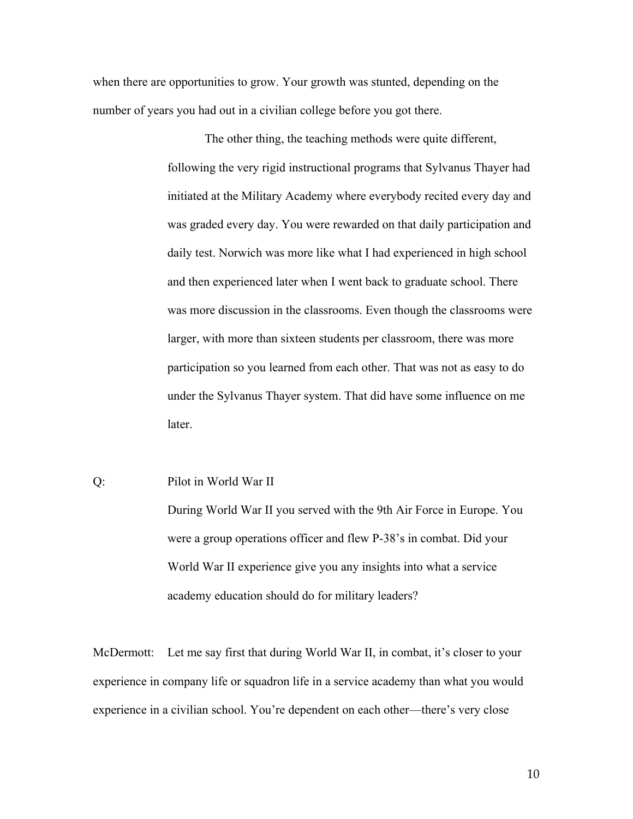when there are opportunities to grow. Your growth was stunted, depending on the number of years you had out in a civilian college before you got there.

> The other thing, the teaching methods were quite different, following the very rigid instructional programs that Sylvanus Thayer had initiated at the Military Academy where everybody recited every day and was graded every day. You were rewarded on that daily participation and daily test. Norwich was more like what I had experienced in high school and then experienced later when I went back to graduate school. There was more discussion in the classrooms. Even though the classrooms were larger, with more than sixteen students per classroom, there was more participation so you learned from each other. That was not as easy to do under the Sylvanus Thayer system. That did have some influence on me later.

## Q: Pilot in World War II

During World War II you served with the 9th Air Force in Europe. You were a group operations officer and flew P-38's in combat. Did your World War II experience give you any insights into what a service academy education should do for military leaders?

McDermott: Let me say first that during World War II, in combat, it's closer to your experience in company life or squadron life in a service academy than what you would experience in a civilian school. You're dependent on each other—there's very close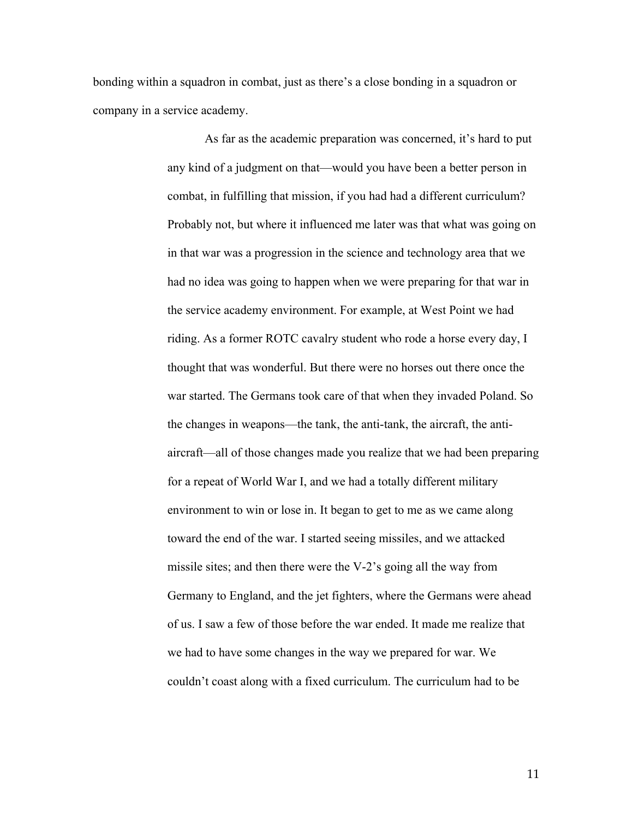bonding within a squadron in combat, just as there's a close bonding in a squadron or company in a service academy.

> As far as the academic preparation was concerned, it's hard to put any kind of a judgment on that—would you have been a better person in combat, in fulfilling that mission, if you had had a different curriculum? Probably not, but where it influenced me later was that what was going on in that war was a progression in the science and technology area that we had no idea was going to happen when we were preparing for that war in the service academy environment. For example, at West Point we had riding. As a former ROTC cavalry student who rode a horse every day, I thought that was wonderful. But there were no horses out there once the war started. The Germans took care of that when they invaded Poland. So the changes in weapons—the tank, the anti-tank, the aircraft, the antiaircraft—all of those changes made you realize that we had been preparing for a repeat of World War I, and we had a totally different military environment to win or lose in. It began to get to me as we came along toward the end of the war. I started seeing missiles, and we attacked missile sites; and then there were the V-2's going all the way from Germany to England, and the jet fighters, where the Germans were ahead of us. I saw a few of those before the war ended. It made me realize that we had to have some changes in the way we prepared for war. We couldn't coast along with a fixed curriculum. The curriculum had to be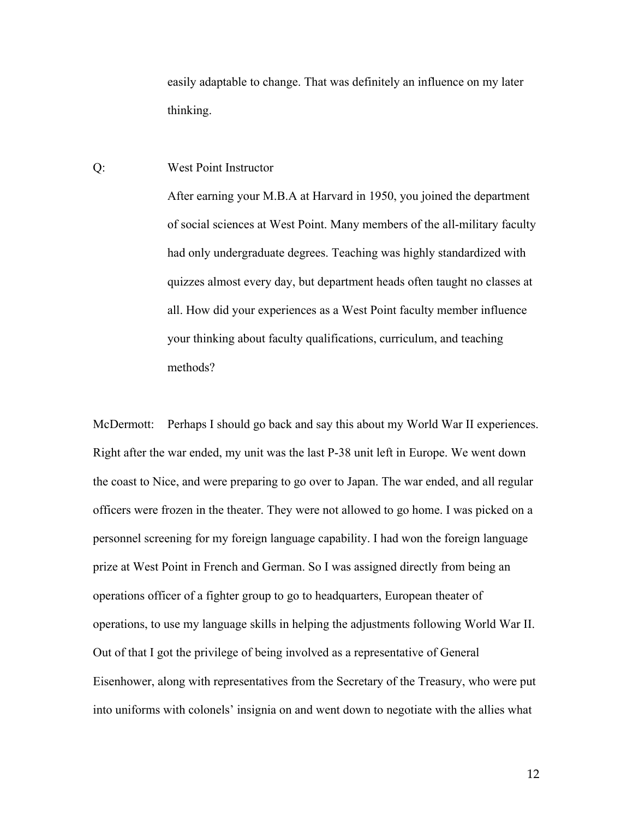easily adaptable to change. That was definitely an influence on my later thinking.

## Q: West Point Instructor

After earning your M.B.A at Harvard in 1950, you joined the department of social sciences at West Point. Many members of the all-military faculty had only undergraduate degrees. Teaching was highly standardized with quizzes almost every day, but department heads often taught no classes at all. How did your experiences as a West Point faculty member influence your thinking about faculty qualifications, curriculum, and teaching methods?

McDermott: Perhaps I should go back and say this about my World War II experiences. Right after the war ended, my unit was the last P-38 unit left in Europe. We went down the coast to Nice, and were preparing to go over to Japan. The war ended, and all regular officers were frozen in the theater. They were not allowed to go home. I was picked on a personnel screening for my foreign language capability. I had won the foreign language prize at West Point in French and German. So I was assigned directly from being an operations officer of a fighter group to go to headquarters, European theater of operations, to use my language skills in helping the adjustments following World War II. Out of that I got the privilege of being involved as a representative of General Eisenhower, along with representatives from the Secretary of the Treasury, who were put into uniforms with colonels' insignia on and went down to negotiate with the allies what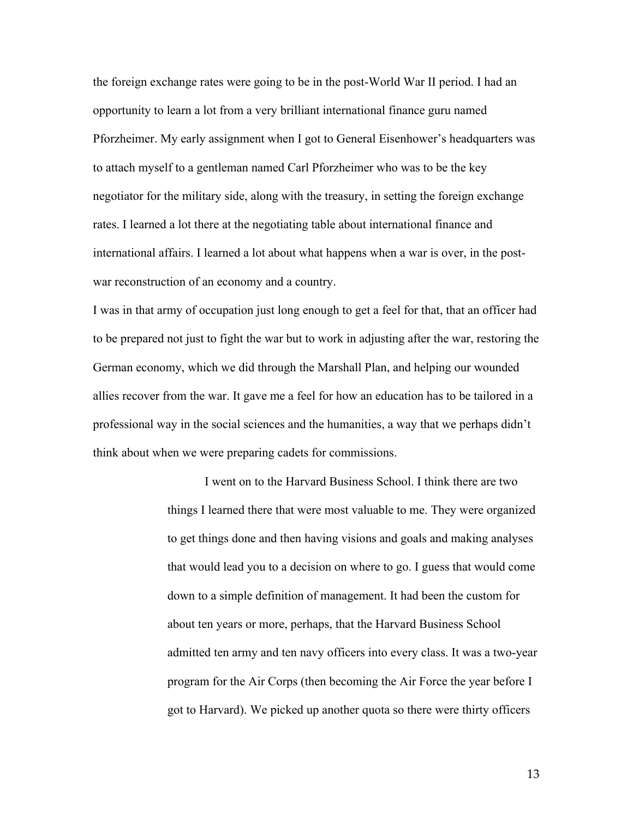the foreign exchange rates were going to be in the post-World War II period. I had an opportunity to learn a lot from a very brilliant international finance guru named Pforzheimer. My early assignment when I got to General Eisenhower's headquarters was to attach myself to a gentleman named Carl Pforzheimer who was to be the key negotiator for the military side, along with the treasury, in setting the foreign exchange rates. I learned a lot there at the negotiating table about international finance and international affairs. I learned a lot about what happens when a war is over, in the postwar reconstruction of an economy and a country.

I was in that army of occupation just long enough to get a feel for that, that an officer had to be prepared not just to fight the war but to work in adjusting after the war, restoring the German economy, which we did through the Marshall Plan, and helping our wounded allies recover from the war. It gave me a feel for how an education has to be tailored in a professional way in the social sciences and the humanities, a way that we perhaps didn't think about when we were preparing cadets for commissions.

> I went on to the Harvard Business School. I think there are two things I learned there that were most valuable to me. They were organized to get things done and then having visions and goals and making analyses that would lead you to a decision on where to go. I guess that would come down to a simple definition of management. It had been the custom for about ten years or more, perhaps, that the Harvard Business School admitted ten army and ten navy officers into every class. It was a two-year program for the Air Corps (then becoming the Air Force the year before I got to Harvard). We picked up another quota so there were thirty officers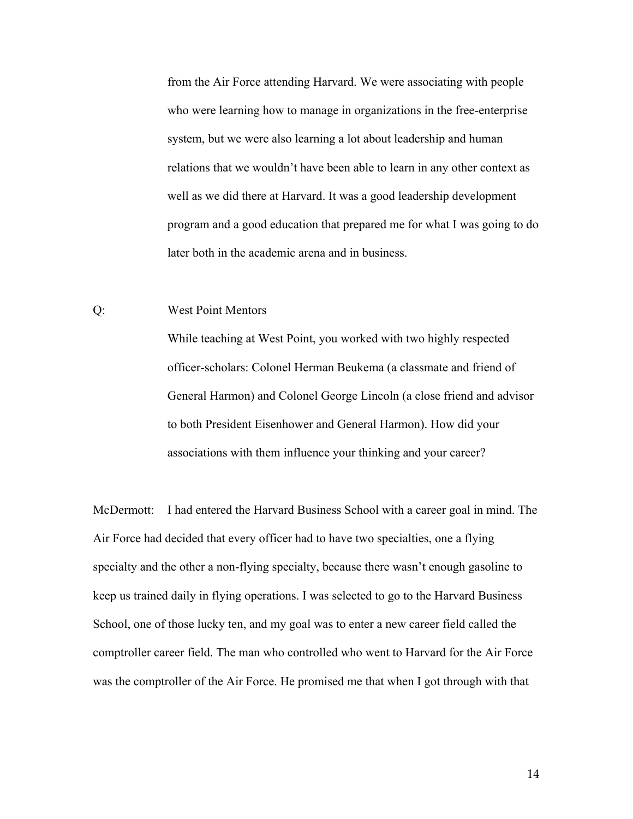from the Air Force attending Harvard. We were associating with people who were learning how to manage in organizations in the free-enterprise system, but we were also learning a lot about leadership and human relations that we wouldn't have been able to learn in any other context as well as we did there at Harvard. It was a good leadership development program and a good education that prepared me for what I was going to do later both in the academic arena and in business.

## Q: West Point Mentors

While teaching at West Point, you worked with two highly respected officer-scholars: Colonel Herman Beukema (a classmate and friend of General Harmon) and Colonel George Lincoln (a close friend and advisor to both President Eisenhower and General Harmon). How did your associations with them influence your thinking and your career?

McDermott: I had entered the Harvard Business School with a career goal in mind. The Air Force had decided that every officer had to have two specialties, one a flying specialty and the other a non-flying specialty, because there wasn't enough gasoline to keep us trained daily in flying operations. I was selected to go to the Harvard Business School, one of those lucky ten, and my goal was to enter a new career field called the comptroller career field. The man who controlled who went to Harvard for the Air Force was the comptroller of the Air Force. He promised me that when I got through with that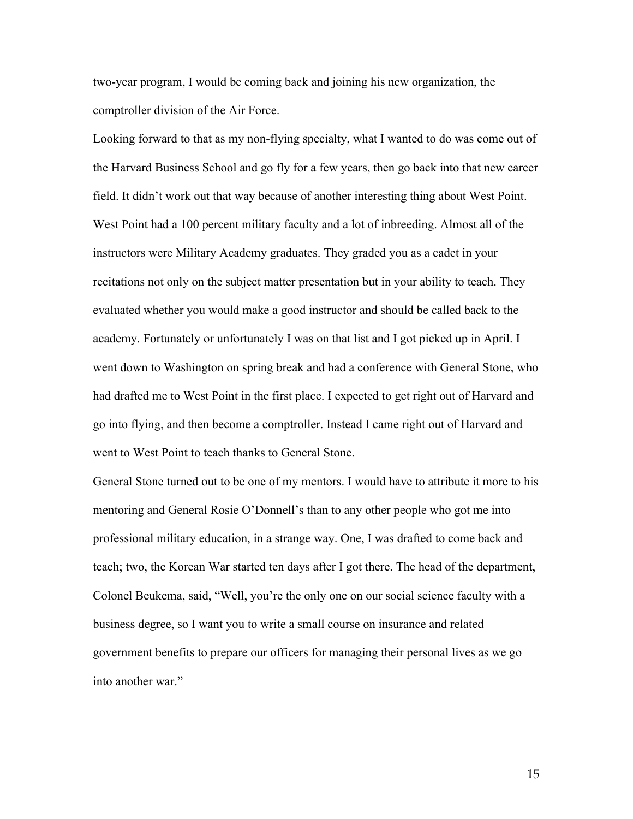two-year program, I would be coming back and joining his new organization, the comptroller division of the Air Force.

Looking forward to that as my non-flying specialty, what I wanted to do was come out of the Harvard Business School and go fly for a few years, then go back into that new career field. It didn't work out that way because of another interesting thing about West Point. West Point had a 100 percent military faculty and a lot of inbreeding. Almost all of the instructors were Military Academy graduates. They graded you as a cadet in your recitations not only on the subject matter presentation but in your ability to teach. They evaluated whether you would make a good instructor and should be called back to the academy. Fortunately or unfortunately I was on that list and I got picked up in April. I went down to Washington on spring break and had a conference with General Stone, who had drafted me to West Point in the first place. I expected to get right out of Harvard and go into flying, and then become a comptroller. Instead I came right out of Harvard and went to West Point to teach thanks to General Stone.

General Stone turned out to be one of my mentors. I would have to attribute it more to his mentoring and General Rosie O'Donnell's than to any other people who got me into professional military education, in a strange way. One, I was drafted to come back and teach; two, the Korean War started ten days after I got there. The head of the department, Colonel Beukema, said, "Well, you're the only one on our social science faculty with a business degree, so I want you to write a small course on insurance and related government benefits to prepare our officers for managing their personal lives as we go into another war."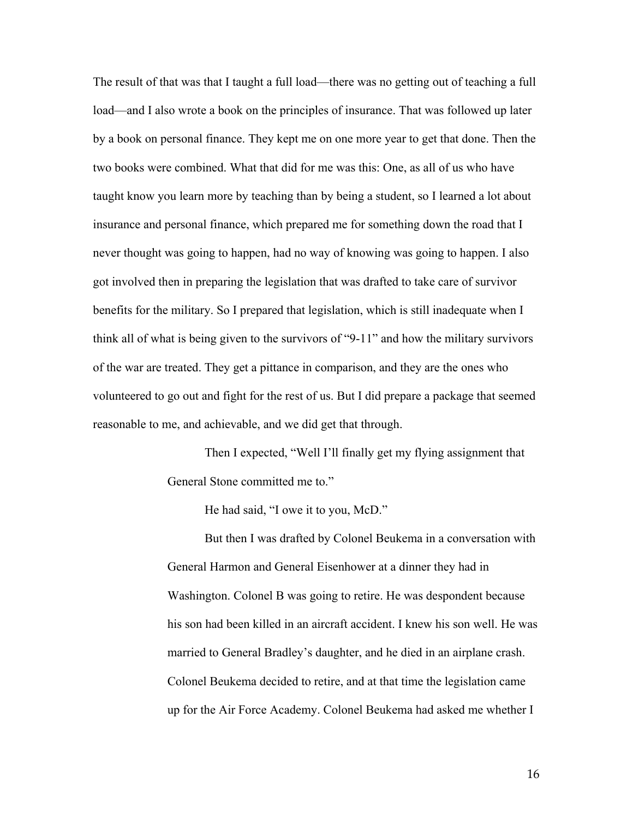The result of that was that I taught a full load—there was no getting out of teaching a full load—and I also wrote a book on the principles of insurance. That was followed up later by a book on personal finance. They kept me on one more year to get that done. Then the two books were combined. What that did for me was this: One, as all of us who have taught know you learn more by teaching than by being a student, so I learned a lot about insurance and personal finance, which prepared me for something down the road that I never thought was going to happen, had no way of knowing was going to happen. I also got involved then in preparing the legislation that was drafted to take care of survivor benefits for the military. So I prepared that legislation, which is still inadequate when I think all of what is being given to the survivors of "9-11" and how the military survivors of the war are treated. They get a pittance in comparison, and they are the ones who volunteered to go out and fight for the rest of us. But I did prepare a package that seemed reasonable to me, and achievable, and we did get that through.

> Then I expected, "Well I'll finally get my flying assignment that General Stone committed me to."

> > He had said, "I owe it to you, McD."

But then I was drafted by Colonel Beukema in a conversation with General Harmon and General Eisenhower at a dinner they had in Washington. Colonel B was going to retire. He was despondent because his son had been killed in an aircraft accident. I knew his son well. He was married to General Bradley's daughter, and he died in an airplane crash. Colonel Beukema decided to retire, and at that time the legislation came up for the Air Force Academy. Colonel Beukema had asked me whether I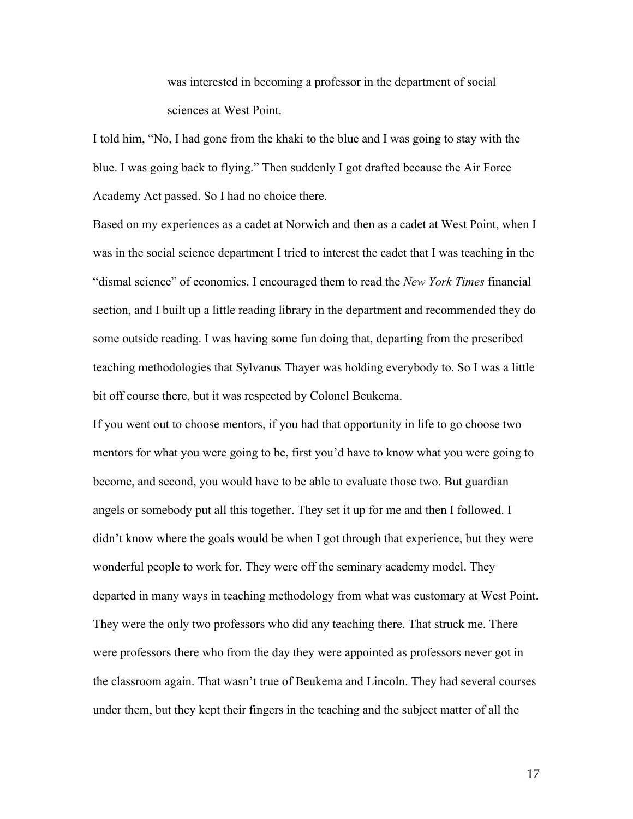was interested in becoming a professor in the department of social sciences at West Point.

I told him, "No, I had gone from the khaki to the blue and I was going to stay with the blue. I was going back to flying." Then suddenly I got drafted because the Air Force Academy Act passed. So I had no choice there.

Based on my experiences as a cadet at Norwich and then as a cadet at West Point, when I was in the social science department I tried to interest the cadet that I was teaching in the "dismal science" of economics. I encouraged them to read the *New York Times* financial section, and I built up a little reading library in the department and recommended they do some outside reading. I was having some fun doing that, departing from the prescribed teaching methodologies that Sylvanus Thayer was holding everybody to. So I was a little bit off course there, but it was respected by Colonel Beukema.

If you went out to choose mentors, if you had that opportunity in life to go choose two mentors for what you were going to be, first you'd have to know what you were going to become, and second, you would have to be able to evaluate those two. But guardian angels or somebody put all this together. They set it up for me and then I followed. I didn't know where the goals would be when I got through that experience, but they were wonderful people to work for. They were off the seminary academy model. They departed in many ways in teaching methodology from what was customary at West Point. They were the only two professors who did any teaching there. That struck me. There were professors there who from the day they were appointed as professors never got in the classroom again. That wasn't true of Beukema and Lincoln. They had several courses under them, but they kept their fingers in the teaching and the subject matter of all the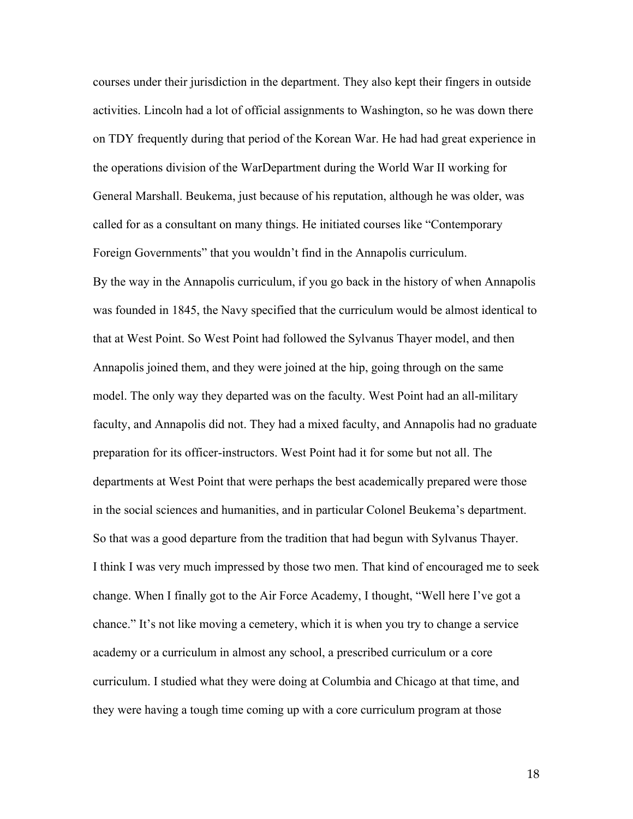courses under their jurisdiction in the department. They also kept their fingers in outside activities. Lincoln had a lot of official assignments to Washington, so he was down there on TDY frequently during that period of the Korean War. He had had great experience in the operations division of the WarDepartment during the World War II working for General Marshall. Beukema, just because of his reputation, although he was older, was called for as a consultant on many things. He initiated courses like "Contemporary Foreign Governments" that you wouldn't find in the Annapolis curriculum. By the way in the Annapolis curriculum, if you go back in the history of when Annapolis was founded in 1845, the Navy specified that the curriculum would be almost identical to that at West Point. So West Point had followed the Sylvanus Thayer model, and then Annapolis joined them, and they were joined at the hip, going through on the same model. The only way they departed was on the faculty. West Point had an all-military faculty, and Annapolis did not. They had a mixed faculty, and Annapolis had no graduate preparation for its officer-instructors. West Point had it for some but not all. The departments at West Point that were perhaps the best academically prepared were those in the social sciences and humanities, and in particular Colonel Beukema's department. So that was a good departure from the tradition that had begun with Sylvanus Thayer. I think I was very much impressed by those two men. That kind of encouraged me to seek change. When I finally got to the Air Force Academy, I thought, "Well here I've got a chance." It's not like moving a cemetery, which it is when you try to change a service academy or a curriculum in almost any school, a prescribed curriculum or a core curriculum. I studied what they were doing at Columbia and Chicago at that time, and they were having a tough time coming up with a core curriculum program at those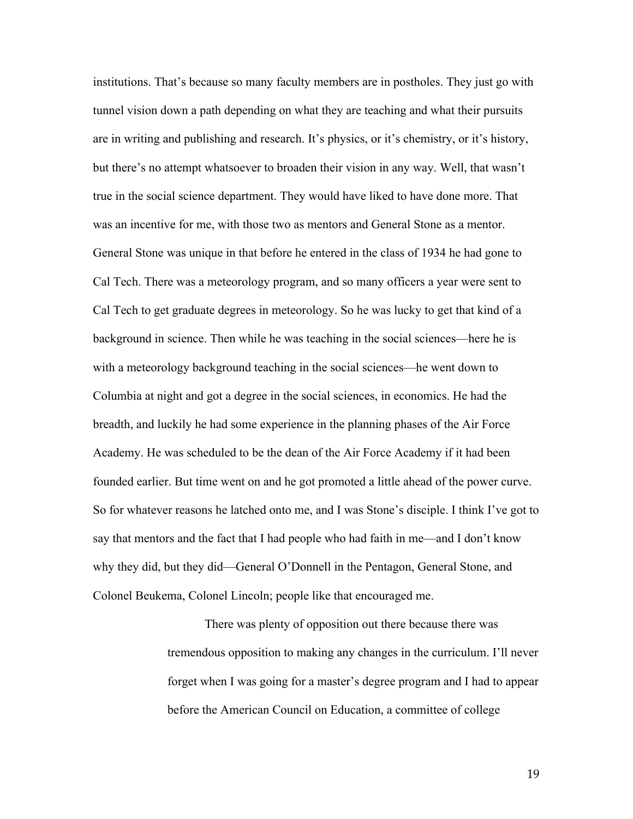institutions. That's because so many faculty members are in postholes. They just go with tunnel vision down a path depending on what they are teaching and what their pursuits are in writing and publishing and research. It's physics, or it's chemistry, or it's history, but there's no attempt whatsoever to broaden their vision in any way. Well, that wasn't true in the social science department. They would have liked to have done more. That was an incentive for me, with those two as mentors and General Stone as a mentor. General Stone was unique in that before he entered in the class of 1934 he had gone to Cal Tech. There was a meteorology program, and so many officers a year were sent to Cal Tech to get graduate degrees in meteorology. So he was lucky to get that kind of a background in science. Then while he was teaching in the social sciences—here he is with a meteorology background teaching in the social sciences—he went down to Columbia at night and got a degree in the social sciences, in economics. He had the breadth, and luckily he had some experience in the planning phases of the Air Force Academy. He was scheduled to be the dean of the Air Force Academy if it had been founded earlier. But time went on and he got promoted a little ahead of the power curve. So for whatever reasons he latched onto me, and I was Stone's disciple. I think I've got to say that mentors and the fact that I had people who had faith in me—and I don't know why they did, but they did—General O'Donnell in the Pentagon, General Stone, and Colonel Beukema, Colonel Lincoln; people like that encouraged me.

> There was plenty of opposition out there because there was tremendous opposition to making any changes in the curriculum. I'll never forget when I was going for a master's degree program and I had to appear before the American Council on Education, a committee of college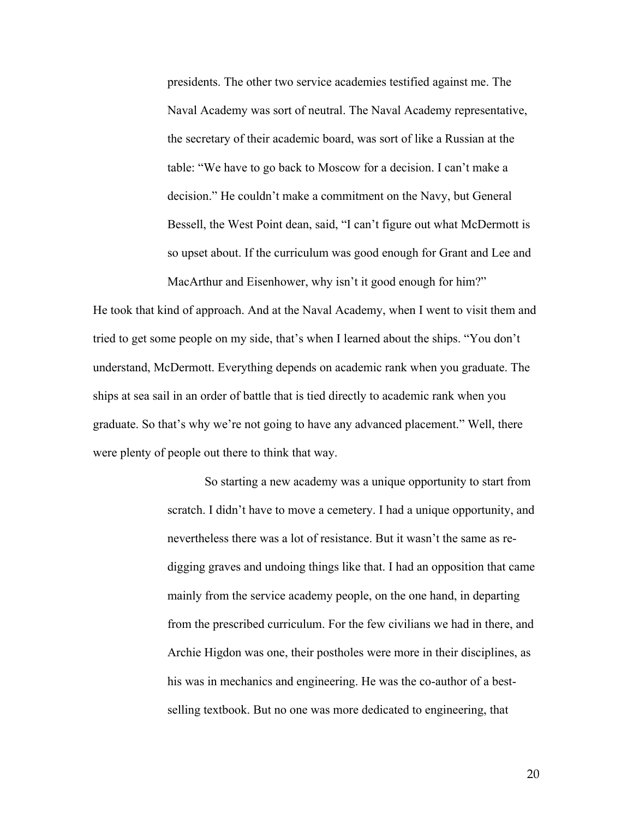presidents. The other two service academies testified against me. The Naval Academy was sort of neutral. The Naval Academy representative, the secretary of their academic board, was sort of like a Russian at the table: "We have to go back to Moscow for a decision. I can't make a decision." He couldn't make a commitment on the Navy, but General Bessell, the West Point dean, said, "I can't figure out what McDermott is so upset about. If the curriculum was good enough for Grant and Lee and MacArthur and Eisenhower, why isn't it good enough for him?"

He took that kind of approach. And at the Naval Academy, when I went to visit them and tried to get some people on my side, that's when I learned about the ships. "You don't understand, McDermott. Everything depends on academic rank when you graduate. The ships at sea sail in an order of battle that is tied directly to academic rank when you graduate. So that's why we're not going to have any advanced placement." Well, there were plenty of people out there to think that way.

> So starting a new academy was a unique opportunity to start from scratch. I didn't have to move a cemetery. I had a unique opportunity, and nevertheless there was a lot of resistance. But it wasn't the same as redigging graves and undoing things like that. I had an opposition that came mainly from the service academy people, on the one hand, in departing from the prescribed curriculum. For the few civilians we had in there, and Archie Higdon was one, their postholes were more in their disciplines, as his was in mechanics and engineering. He was the co-author of a bestselling textbook. But no one was more dedicated to engineering, that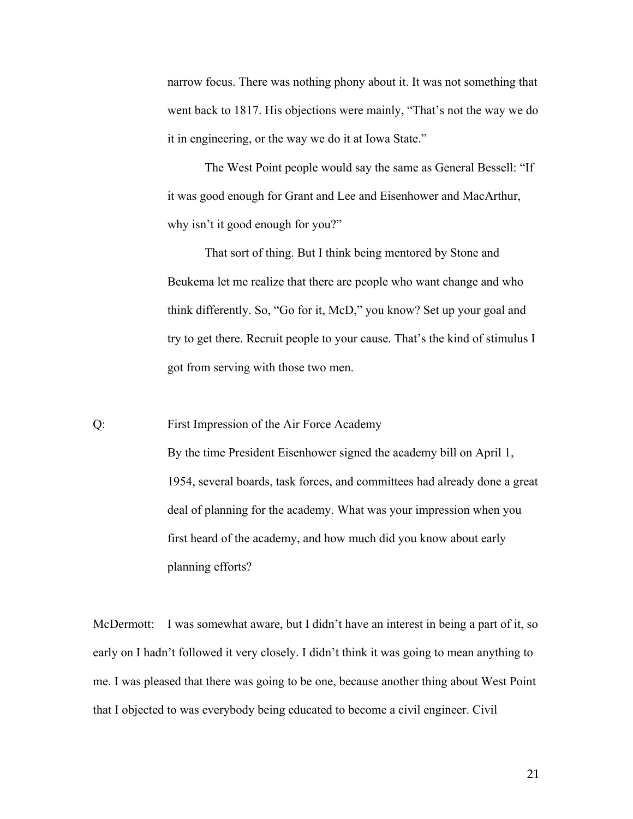narrow focus. There was nothing phony about it. It was not something that went back to 1817. His objections were mainly, "That's not the way we do it in engineering, or the way we do it at Iowa State."

The West Point people would say the same as General Bessell: "If it was good enough for Grant and Lee and Eisenhower and MacArthur, why isn't it good enough for you?"

That sort of thing. But I think being mentored by Stone and Beukema let me realize that there are people who want change and who think differently. So, "Go for it, McD," you know? Set up your goal and try to get there. Recruit people to your cause. That's the kind of stimulus I got from serving with those two men.

Q: First Impression of the Air Force Academy By the time President Eisenhower signed the academy bill on April 1, 1954, several boards, task forces, and committees had already done a great deal of planning for the academy. What was your impression when you first heard of the academy, and how much did you know about early planning efforts?

McDermott: I was somewhat aware, but I didn't have an interest in being a part of it, so early on I hadn't followed it very closely. I didn't think it was going to mean anything to me. I was pleased that there was going to be one, because another thing about West Point that I objected to was everybody being educated to become a civil engineer. Civil